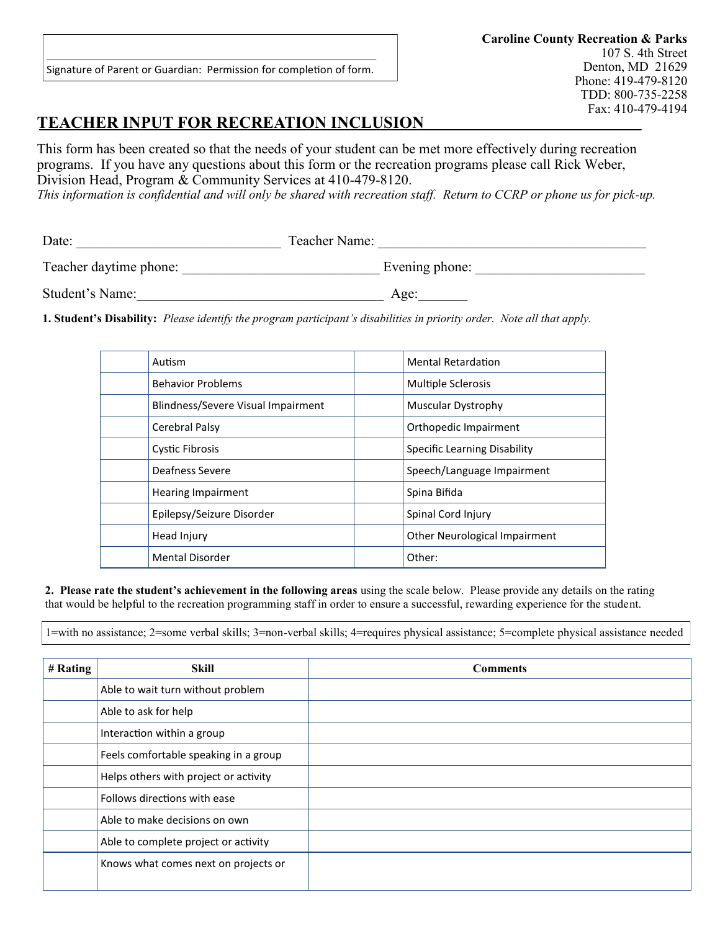Signature of Parent or Guardian: Permission for completion of form.

# **TEACHER INPUT FOR RECREATION INCLUSION**

This form has been created so that the needs of your student can be met more effectively during recreation programs. If you have any questions about this form or the recreation programs please call Rick Weber, Division Head, Program & Community Services at 410-479-8120.

*This information is confidential and will only be shared with recreation staff. Return to CCRP or phone us for pick-up.*

| Date:                  | Teacher Name:  |
|------------------------|----------------|
| Teacher daytime phone: | Evening phone: |
| Student's Name:        | Age:           |

**1. Student's Disability:** *Please identify the program participant's disabilities in priority order. Note all that apply.*

| Autism                             | <b>Mental Retardation</b>     |
|------------------------------------|-------------------------------|
| <b>Behavior Problems</b>           | <b>Multiple Sclerosis</b>     |
| Blindness/Severe Visual Impairment | Muscular Dystrophy            |
| Cerebral Palsy                     | Orthopedic Impairment         |
| <b>Cystic Fibrosis</b>             | Specific Learning Disability  |
| Deafness Severe                    | Speech/Language Impairment    |
| <b>Hearing Impairment</b>          | Spina Bifida                  |
| Epilepsy/Seizure Disorder          | Spinal Cord Injury            |
| Head Injury                        | Other Neurological Impairment |
| <b>Mental Disorder</b>             | Other:                        |

**2. Please rate the student's achievement in the following areas** using the scale below. Please provide any details on the rating that would be helpful to the recreation programming staff in order to ensure a successful, rewarding experience for the student.

1=with no assistance; 2=some verbal skills; 3=non-verbal skills; 4=requires physical assistance; 5=complete physical assistance needed

| # Rating | <b>Skill</b>                          | <b>Comments</b> |
|----------|---------------------------------------|-----------------|
|          | Able to wait turn without problem     |                 |
|          | Able to ask for help                  |                 |
|          | Interaction within a group            |                 |
|          | Feels comfortable speaking in a group |                 |
|          | Helps others with project or activity |                 |
|          | Follows directions with ease          |                 |
|          | Able to make decisions on own         |                 |
|          | Able to complete project or activity  |                 |
|          | Knows what comes next on projects or  |                 |